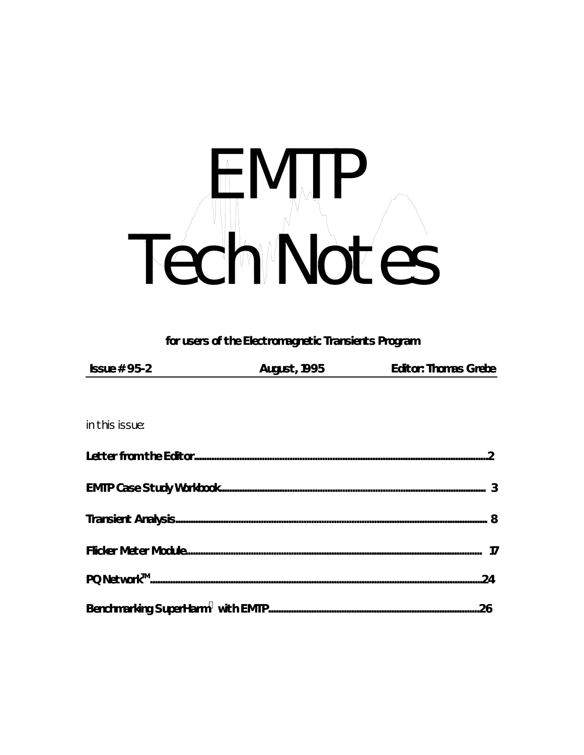# Tech NJP

for users of the Electromagnetic Transients Program

| <b>Issue # 95-2</b> | <b>August, 1995</b> | <b>Editor: Thomas Grebe</b> |
|---------------------|---------------------|-----------------------------|

in this issue: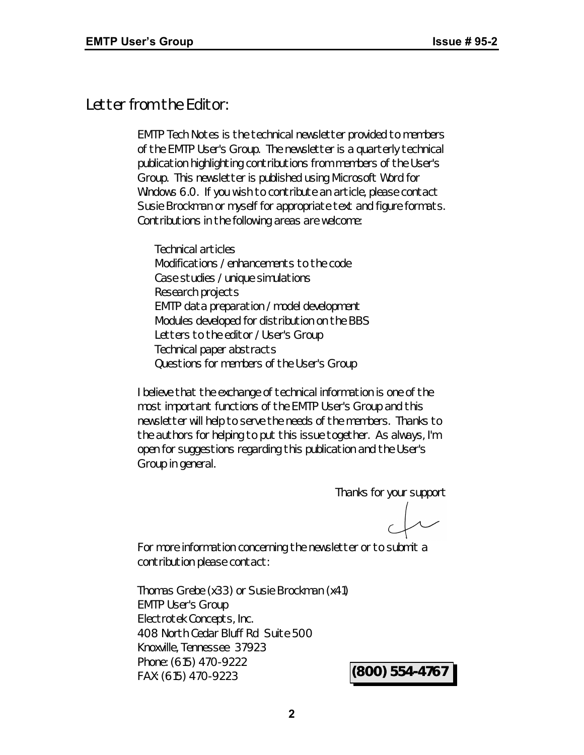## *Letter from the Editor:*

*EMTP Tech Notes* is the technical newsletter provided to members of the EMTP User's Group. The newsletter is a quarterly technical publication highlighting contributions from members of the User's Group. This newsletter is published using Microsoft Word for Windows 6.0. If you wish to contribute an article, please contact Susie Brockman or myself for appropriate text and figure formats. Contributions in the following areas are welcome:

Technical articles Modifications / enhancements to the code Case studies / unique simulations Research projects EMTP data preparation / model development Modules developed for distribution on the BBS Letters to the editor / User's Group Technical paper abstracts Questions for members of the User's Group

I believe that the exchange of technical information is one of the most important functions of the EMTP User's Group and this newsletter will help to serve the needs of the members. Thanks to the authors for helping to put this issue together. As always, I'm open for suggestions regarding this publication and the User's Group in general.

Thanks for your support

For more information concerning the newsletter or to submit a contribution please contact:

Thomas Grebe (x33) or Susie Brockman (x41) EMTP User's Group Electrotek Concepts, Inc. 408 North Cedar Bluff Rd Suite 500 Knoxville, Tennessee 37923 Phone: (615) 470-9222 FAX: (615) 470-9223 **(800) 554-4767**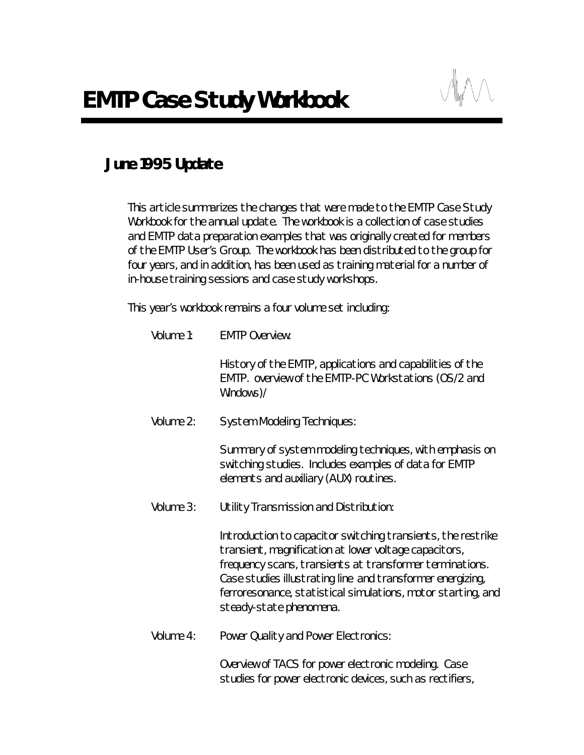# *June 1995 Update*

This article summarizes the changes that were made to the EMTP Case Study Workbook for the annual update. The workbook is a collection of case studies and EMTP data preparation examples that was originally created for members of the EMTP User's Group. The workbook has been distributed to the group for four years, and in addition, has been used as training material for a number of in-house training sessions and case study workshops.

This year's workbook remains a four volume set including:

| Volume 1: | <b>EMTP Overview:</b>                                                                                                                                                                                                                                                                                                                      |
|-----------|--------------------------------------------------------------------------------------------------------------------------------------------------------------------------------------------------------------------------------------------------------------------------------------------------------------------------------------------|
|           | History of the EMTP, applications and capabilities of the<br>EMTP. overview of the EMTP-PC Workstations (OS/2 and<br>Windows)/                                                                                                                                                                                                             |
| Volume 2: | <b>System Modeling Techniques:</b>                                                                                                                                                                                                                                                                                                         |
|           | Summary of system modeling techniques, with emphasis on<br>switching studies. Includes examples of data for EMTP<br>elements and auxiliary (AUX) routines.                                                                                                                                                                                 |
| Volume 3: | Utility Transmission and Distribution:                                                                                                                                                                                                                                                                                                     |
|           | Introduction to capacitor switching transients, the restrike<br>transient, magnification at lower voltage capacitors,<br>frequency scans, transients at transformer terminations.<br>Case studies illustrating line and transformer energizing,<br>ferroresonance, statistical simulations, motor starting, and<br>steady-state phenomena. |
| Volume 4: | Power Quality and Power Electronics:                                                                                                                                                                                                                                                                                                       |

Overview of TACS for power electronic modeling. Case studies for power electronic devices, such as rectifiers,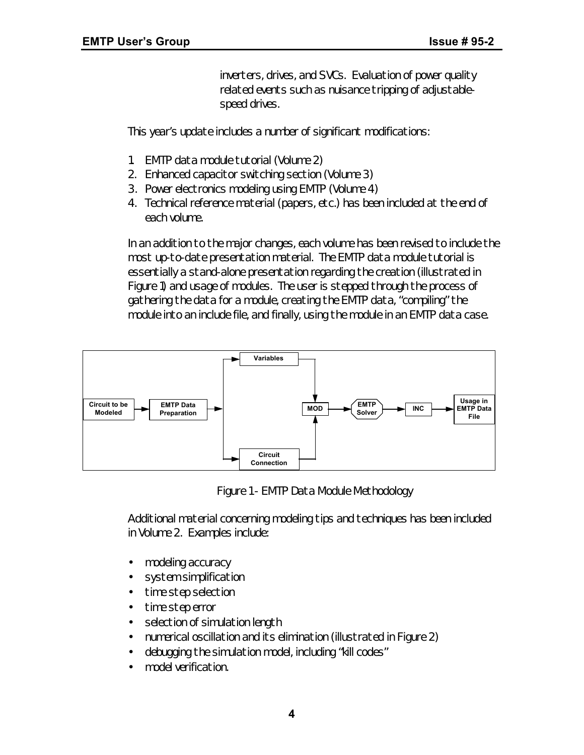inverters, drives, and SVCs. Evaluation of power quality related events such as nuisance tripping of adjustablespeed drives.

This year's update includes a number of significant modifications:

- 1. EMTP data module tutorial (Volume 2)
- 2. Enhanced capacitor switching section (Volume 3)
- 3. Power electronics modeling using EMTP (Volume 4)
- 4. Technical reference material (papers, etc.) has been included at the end of each volume.

In an addition to the major changes, each volume has been revised to include the most up-to-date presentation material. The EMTP data module tutorial is essentially a stand-alone presentation regarding the creation (illustrated in Figure 1) and usage of modules. The user is stepped through the process of gathering the data for a module, creating the EMTP data, "compiling" the module into an include file, and finally, using the module in an EMTP data case.



*Figure 1 - EMTP Data Module Methodology*

Additional material concerning modeling tips and techniques has been included in Volume 2. Examples include:

- modeling accuracy
- system simplification
- time step selection
- time step error
- selection of simulation length
- numerical oscillation and its elimination (illustrated in Figure 2)
- debugging the simulation model, including "kill codes"
- model verification.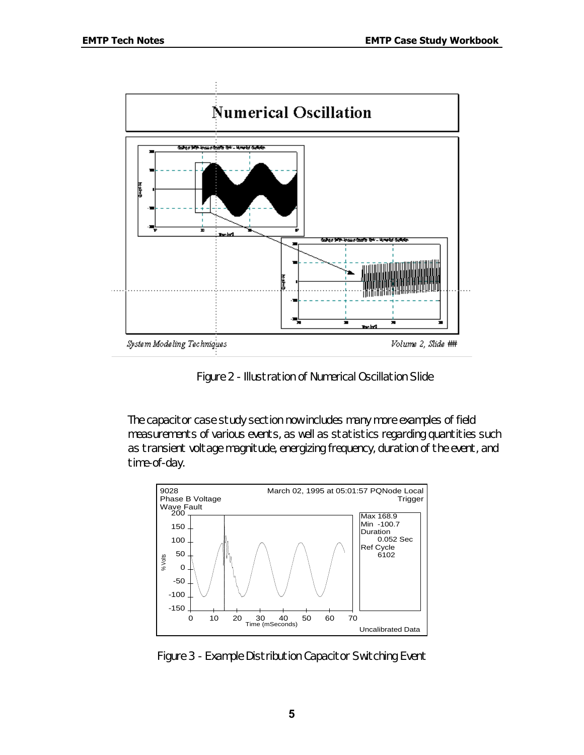

*Figure 2 - Illustration of Numerical Oscillation Slide*

The capacitor case study section now includes many more examples of field measurements of various events, as well as statistics regarding quantities such as transient voltage magnitude, energizing frequency, duration of the event, and time-of-day.



*Figure 3 - Example Distribution Capacitor Switching Event*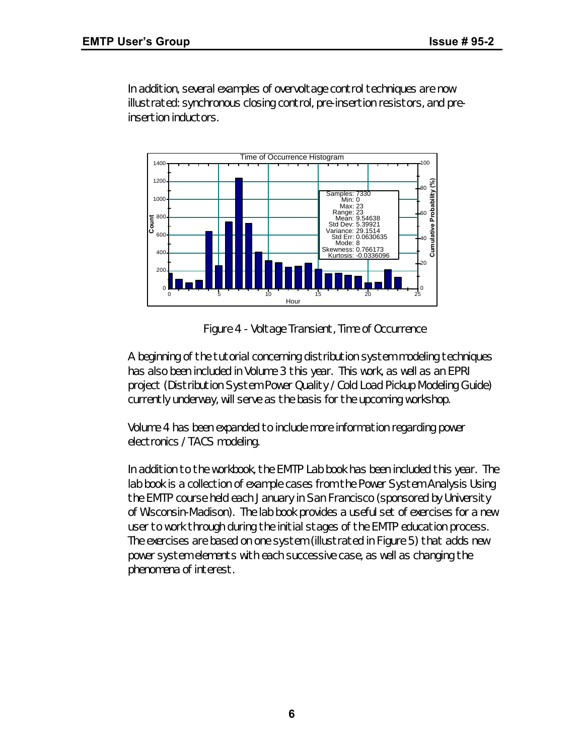In addition, several examples of overvoltage control techniques are now illustrated: synchronous closing control, pre-insertion resistors, and preinsertion inductors.



*Figure 4 - Voltage Transient, Time of Occurrence*

A beginning of the tutorial concerning distribution system modeling techniques has also been included in Volume 3 this year. This work, as well as an EPRI project (Distribution System Power Quality / Cold Load Pickup Modeling Guide) currently underway, will serve as the basis for the upcoming workshop.

Volume 4 has been expanded to include more information regarding power electronics / TACS modeling.

In addition to the workbook, the EMTP Lab book has been included this year. The lab book is a collection of example cases from the Power System Analysis Using the EMTP course held each January in San Francisco (sponsored by University of Wisconsin-Madison). The lab book provides a useful set of exercises for a new user to work through during the initial stages of the EMTP education process. The exercises are based on one system (illustrated in Figure 5) that adds new power system elements with each successive case, as well as changing the phenomena of interest.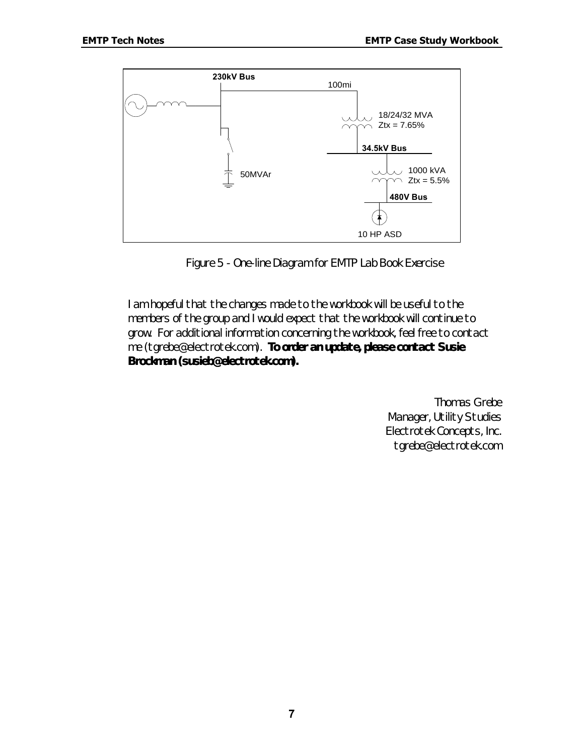

*Figure 5 - One-line Diagram for EMTP Lab Book Exercise*

I am hopeful that the changes made to the workbook will be useful to the members of the group and I would expect that the workbook will continue to grow. For additional information concerning the workbook, feel free to contact me (tgrebe@electrotek.com). **To order an update, please contact Susie Brockman (susieb@electrotek.com).**

> Thomas Grebe Manager, Utility Studies Electrotek Concepts, Inc. tgrebe@electrotek.com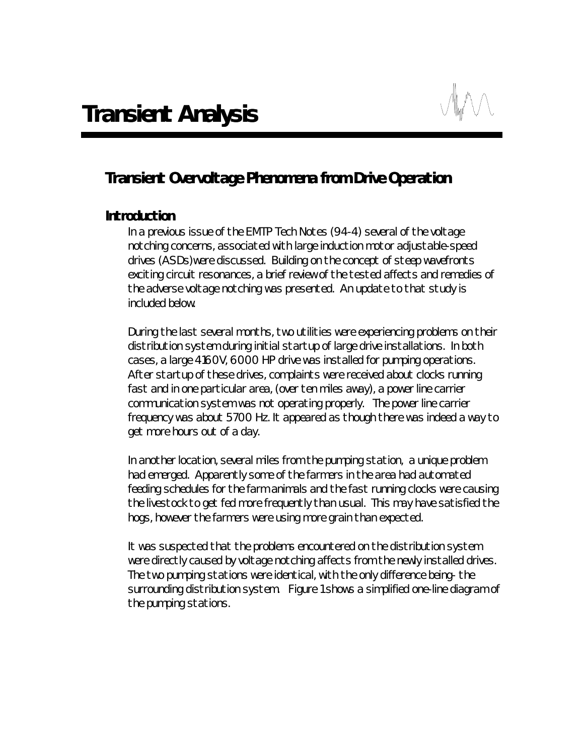# *Transient Overvoltage Phenomena from Drive Operation*

#### *Introduction*

In a previous issue of the EMTP Tech Notes (94-4) several of the voltage notching concerns, associated with large induction motor adjustable-speed drives (ASDs)were discussed. Building on the concept of steep wavefronts exciting circuit resonances, a brief review of the tested affects and remedies of the adverse voltage notching was presented. An update to that study is included below.

During the last several months, two utilities were experiencing problems on their distribution system during initial startup of large drive installations. In both cases, a large 4160V, 6000 HP drive was installed for pumping operations. After startup of these drives, complaints were received about clocks running fast and in one particular area, (over ten miles away), a power line carrier communication system was not operating properly. The power line carrier frequency was about 5700 Hz. It appeared as though there was indeed a way to get more hours out of a day.

In another location, several miles from the pumping station, a unique problem had emerged. Apparently some of the farmers in the area had automated feeding schedules for the farm animals and the fast running clocks were causing the livestock to get fed more frequently than usual. This may have satisfied the hogs, however the farmers were using more grain than expected.

It was suspected that the problems encountered on the distribution system were directly caused by voltage notching affects from the newly installed drives. The two pumping stations were identical, with the only difference being- the surrounding distribution system. Figure 1 shows a simplified one-line diagram of the pumping stations.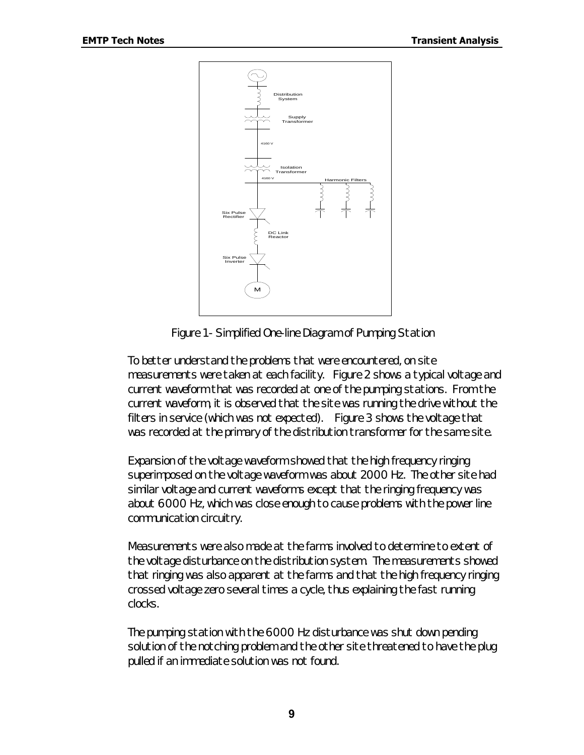

*Figure 1 - Simplified One-line Diagram of Pumping Station*

To better understand the problems that were encountered, on site measurements were taken at each facility. Figure 2 shows a typical voltage and current waveform that was recorded at one of the pumping stations. From the current waveform, it is observed that the site was running the drive without the filters in service (which was not expected). Figure 3 shows the voltage that was recorded at the primary of the distribution transformer for the same site.

Expansion of the voltage waveform showed that the high frequency ringing superimposed on the voltage waveform was about 2000 Hz. The other site had similar voltage and current waveforms except that the ringing frequency was about 6000 Hz, which was close enough to cause problems with the power line communication circuitry.

Measurements were also made at the farms involved to determine to extent of the voltage disturbance on the distribution system. The measurements showed that ringing was also apparent at the farms and that the high frequency ringing crossed voltage zero several times a cycle, thus explaining the fast running clocks.

The pumping station with the 6000 Hz disturbance was shut down pending solution of the notching problem and the other site threatened to have the plug pulled if an immediate solution was not found.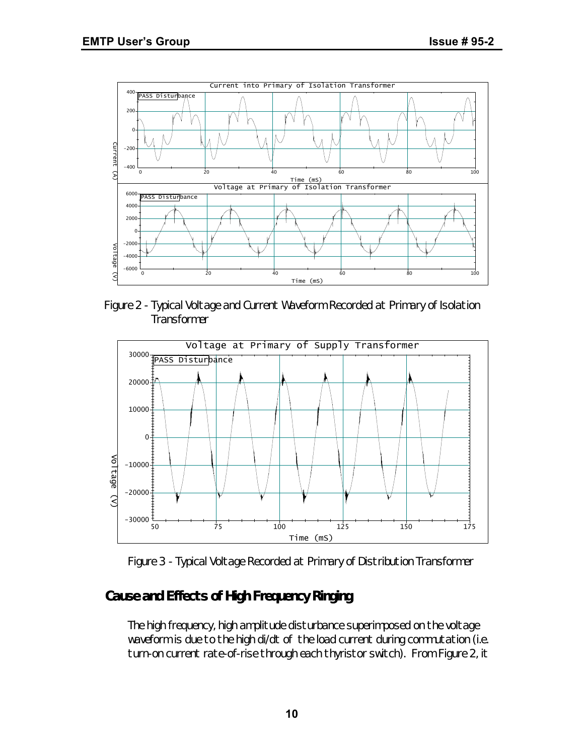

*Figure 2 - Typical Voltage and Current Waveform Recorded at Primary of Isolation Transformer*



*Figure 3 - Typical Voltage Recorded at Primary of Distribution Transformer*

# *Cause and Effects of High Frequency Ringing*

The high frequency, high amplitude disturbance superimposed on the voltage waveform is due to the high di/dt of the load current during commutation (i.e. turn-on current rate-of-rise through each thyristor switch). From Figure 2, it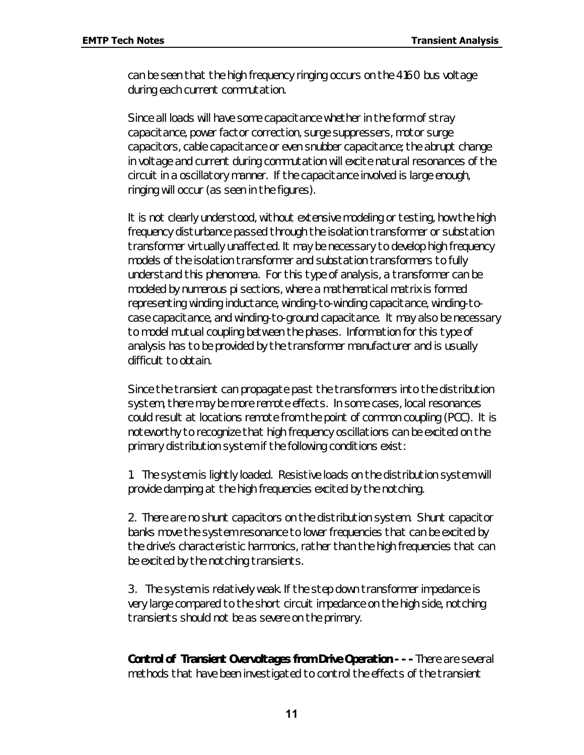can be seen that the high frequency ringing occurs on the 4160 bus voltage during each current commutation.

Since all loads will have some capacitance whether in the form of stray capacitance, power factor correction, surge suppressers, motor surge capacitors, cable capacitance or even snubber capacitance; the abrupt change in voltage and current during commutation will excite natural resonances of the circuit in a oscillatory manner. If the capacitance involved is large enough, ringing will occur (as seen in the figures).

It is not clearly understood, without extensive modeling or testing, how the high frequency disturbance passed through the isolation transformer or substation transformer virtually unaffected. It may be necessary to develop high frequency models of the isolation transformer and substation transformers to fully understand this phenomena. For this type of analysis, a transformer can be modeled by numerous pi sections, where a mathematical matrix is formed representing winding inductance, winding-to-winding capacitance, winding-tocase capacitance, and winding-to-ground capacitance. It may also be necessary to model mutual coupling between the phases. Information for this type of analysis has to be provided by the transformer manufacturer and is usually difficult to obtain.

Since the transient can propagate past the transformers into the distribution system, there may be more remote effects. In some cases, local resonances could result at locations remote from the point of common coupling (PCC). It is noteworthy to recognize that high frequency oscillations can be excited on the primary distribution system if the following conditions exist:

1. The system is lightly loaded. Resistive loads on the distribution system will provide damping at the high frequencies excited by the notching.

2. There are no shunt capacitors on the distribution system. Shunt capacitor banks move the system resonance to lower frequencies that can be excited by the drive's characteristic harmonics, rather than the high frequencies that can be excited by the notching transients.

3. The system is relatively weak. If the step down transformer impedance is very large compared to the short circuit impedance on the high side, notching transients should not be as severe on the primary.

*Control of Transient Overvoltages from Drive Operation - - - There are several* methods that have been investigated to control the effects of the transient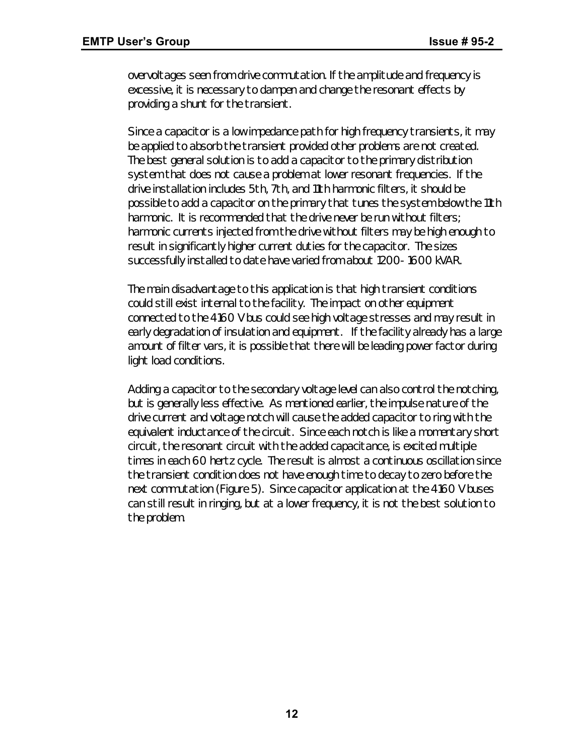overvoltages seen from drive commutation. If the amplitude and frequency is excessive, it is necessary to dampen and change the resonant effects by providing a shunt for the transient.

Since a capacitor is a low impedance path for high frequency transients, it may be applied to absorb the transient provided other problems are not created. The best general solution is to add a capacitor to the primary distribution system that does not cause a problem at lower resonant frequencies. If the drive installation includes 5th, 7th, and 11th harmonic filters, it should be possible to add a capacitor on the primary that tunes the system below the 11th harmonic. It is recommended that the drive never be run without filters; harmonic currents injected from the drive without filters may be high enough to result in significantly higher current duties for the capacitor. The sizes successfully installed to date have varied from about 1200- 1600 kVAR.

The main disadvantage to this application is that high transient conditions could still exist internal to the facility. The impact on other equipment connected to the 4160 V bus could see high voltage stresses and may result in early degradation of insulation and equipment. If the facility already has a large amount of filter vars, it is possible that there will be leading power factor during light load conditions.

Adding a capacitor to the secondary voltage level can also control the notching, but is generally less effective. As mentioned earlier, the impulse nature of the drive current and voltage notch will cause the added capacitor to ring with the equivalent inductance of the circuit. Since each notch is like a momentary short circuit, the resonant circuit with the added capacitance, is excited multiple times in each 60 hertz cycle. The result is almost a continuous oscillation since the transient condition does not have enough time to decay to zero before the next commutation (Figure 5). Since capacitor application at the 4160 V buses can still result in ringing, but at a lower frequency, it is not the best solution to the problem.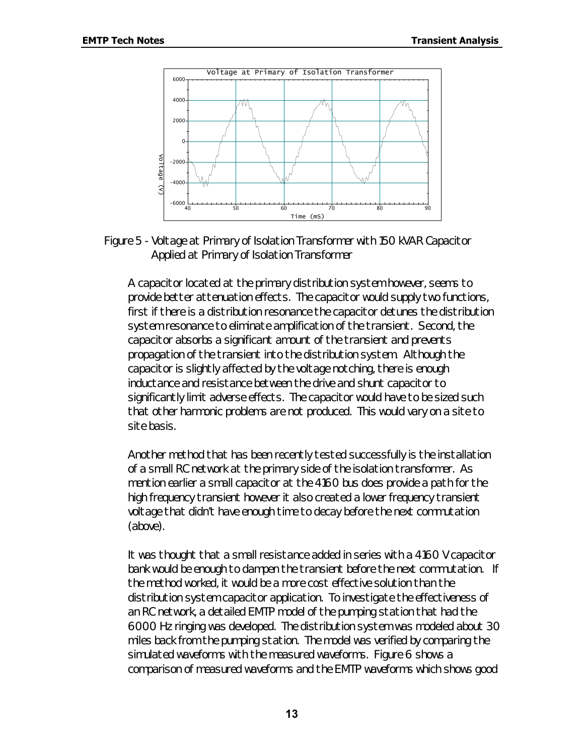

*Figure 5 - Voltage at Primary of Isolation Transformer with 150 kVAR Capacitor Applied at Primary of Isolation Transformer*

A capacitor located at the primary distribution system however, seems to provide better attenuation effects. The capacitor would supply two functions, first if there is a distribution resonance the capacitor detunes the distribution system resonance to eliminate amplification of the transient. Second, the capacitor absorbs a significant amount of the transient and prevents propagation of the transient into the distribution system. Although the capacitor is slightly affected by the voltage notching, there is enough inductance and resistance between the drive and shunt capacitor to significantly limit adverse effects. The capacitor would have to be sized such that other harmonic problems are not produced. This would vary on a site to site basis.

*Another method* that has been recently tested successfully is the installation of a small RC network at the primary side of the isolation transformer. As mention earlier a small capacitor at the 4160 bus does provide a path for the high frequency transient however it also created a lower frequency transient voltage that didn't have enough time to decay before the next commutation (above).

It was thought that a small resistance added in series with a 4160 V capacitor bank would be enough to dampen the transient before the next commutation. If the method worked, it would be a more cost effective solution than the distribution system capacitor application. To investigate the effectiveness of an RC network, a detailed EMTP model of the pumping station that had the 6000 Hz ringing was developed. The distribution system was modeled about 30 miles back from the pumping station. The model was verified by comparing the simulated waveforms with the measured waveforms. Figure 6 shows a comparison of measured waveforms and the EMTP waveforms which shows good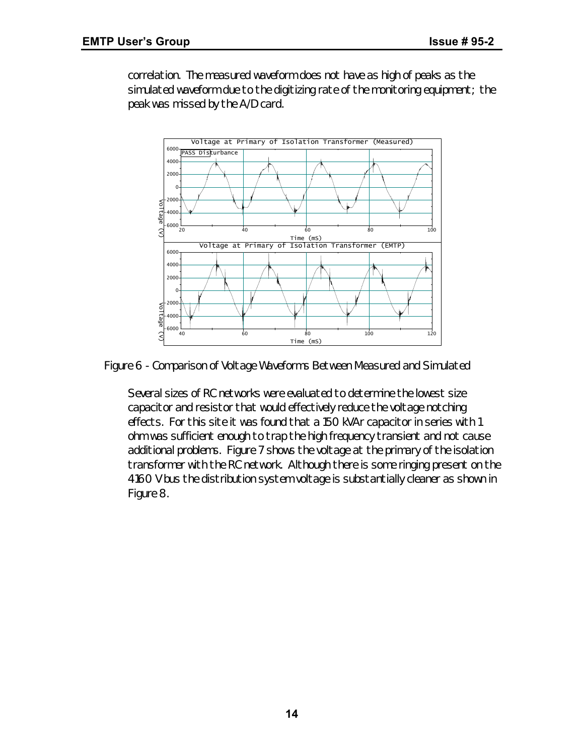correlation. The measured waveform does not have as high of peaks as the simulated waveform due to the digitizing rate of the monitoring equipment; the peak was missed by the A/D card.



*Figure 6 - Comparison of Voltage Waveforms Between Measured and Simulated*

Several sizes of RC networks were evaluated to determine the lowest size capacitor and resistor that would effectively reduce the voltage notching effects. For this site it was found that a 150 kVAr capacitor in series with 1 ohm was sufficient enough to trap the high frequency transient and not cause additional problems. Figure 7 shows the voltage at the primary of the isolation transformer with the RC network. Although there is some ringing present on the 4160 V bus the distribution system voltage is substantially cleaner as shown in Figure 8.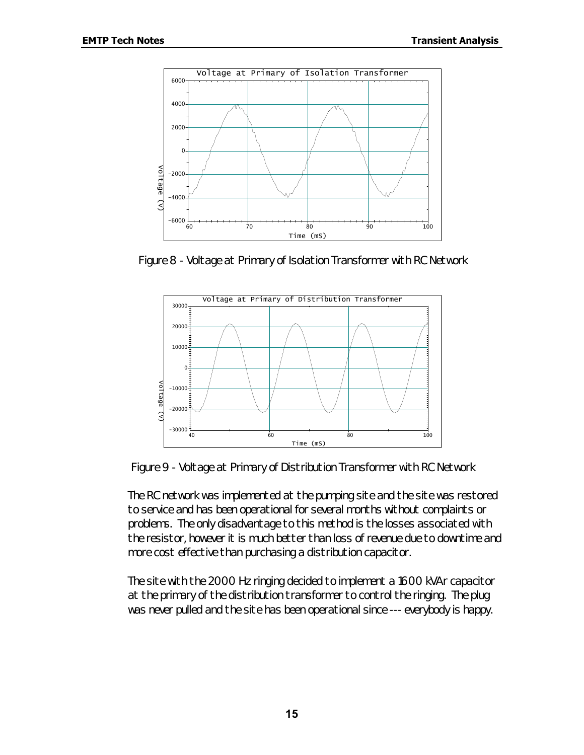

*Figure 8 - Voltage at Primary of Isolation Transformer with RC Network*



*Figure 9 - Voltage at Primary of Distribution Transformer with RC Network*

The RC network was implemented at the pumping site and the site was restored to service and has been operational for several months without complaints or problems. The only disadvantage to this method is the losses associated with the resistor, however it is much better than loss of revenue due to downtime and more cost effective than purchasing a distribution capacitor.

The site with the 2000 Hz ringing decided to implement a 1600 kVAr capacitor at the primary of the distribution transformer to control the ringing. The plug was never pulled and the site has been operational since --- *everybody is happy*.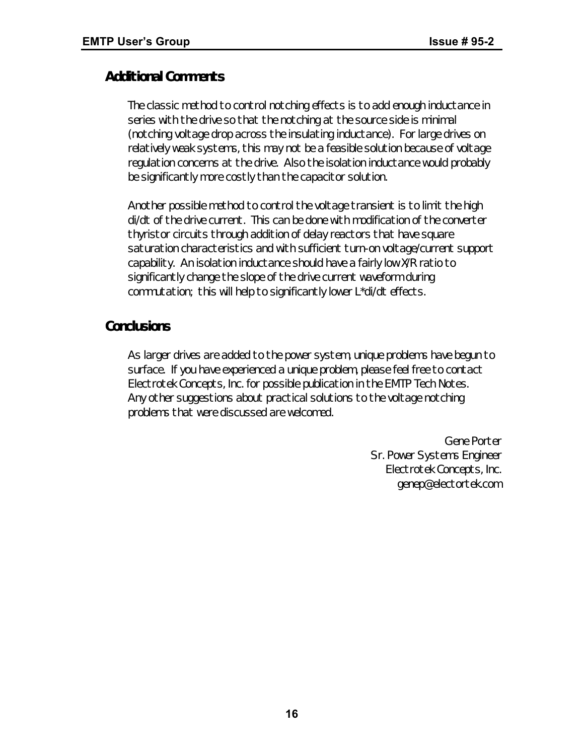# *Additional Comments*

The classic method to control notching effects is to add enough inductance in series with the drive so that the notching at the source side is minimal (notching voltage drop across the insulating inductance). For large drives on relatively weak systems, this may not be a feasible solution because of voltage regulation concerns at the drive. Also the isolation inductance would probably be significantly more costly than the capacitor solution.

Another possible method to control the voltage transient is to limit the high di/dt of the drive current. This can be done with modification of the converter thyristor circuits through addition of delay reactors that have square saturation characteristics and with sufficient turn-on voltage/current support capability. An isolation inductance should have a fairly low X/R ratio to significantly change the slope of the drive current waveform during commutation; this will help to significantly lower L\*di/dt effects.

# *Conclusions*

As larger drives are added to the power system, unique problems have begun to surface. If you have experienced a unique problem, please feel free to contact Electrotek Concepts, Inc. for possible publication in the EMTP Tech Notes. Any other suggestions about practical solutions to the voltage notching problems that were discussed are welcomed.

> Gene Porter Sr. Power Systems Engineer Electrotek Concepts, Inc. genep@electortek.com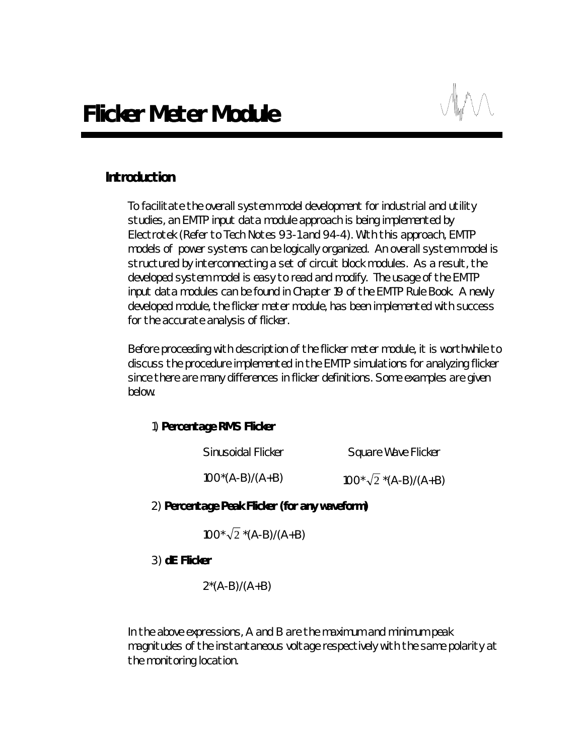# *Introduction*

To facilitate the overall system model development for industrial and utility studies, an EMTP input data module approach is being implemented by Electrotek (Refer to Tech Notes 93-1 and 94-4). With this approach, EMTP models of power systems can be logically organized. An overall system model is structured by interconnecting a set of circuit block modules. As a result, the developed system model is easy to read and modify. The usage of the EMTP input data modules can be found in Chapter 19 of the EMTP Rule Book. A newly developed module, the flicker meter module, has been implemented with success for the accurate analysis of flicker.

Before proceeding with description of the flicker meter module, it is worthwhile to discuss the procedure implemented in the EMTP simulations for analyzing flicker since there are many differences in flicker definitions. Some examples are given below.

#### 1) *Percentage RMS Flicker*

| Sinusoidal Flicker | Square Wave Flicker           |  |  |
|--------------------|-------------------------------|--|--|
| $100^*(A-B)/(A+B)$ | $100^* \sqrt{2}$ *(A-B)/(A+B) |  |  |

#### 2) *Percentage Peak Flicker (for any waveform)*

 $100 \times \sqrt{2} \times (A-B)/(A+B)$ 

3) *dE Flicker*

 $2^*(A-B)/(A+B)$ 

In the above expressions, A and B are the maximum and minimum peak magnitudes of the instantaneous voltage respectively with the same polarity at the monitoring location.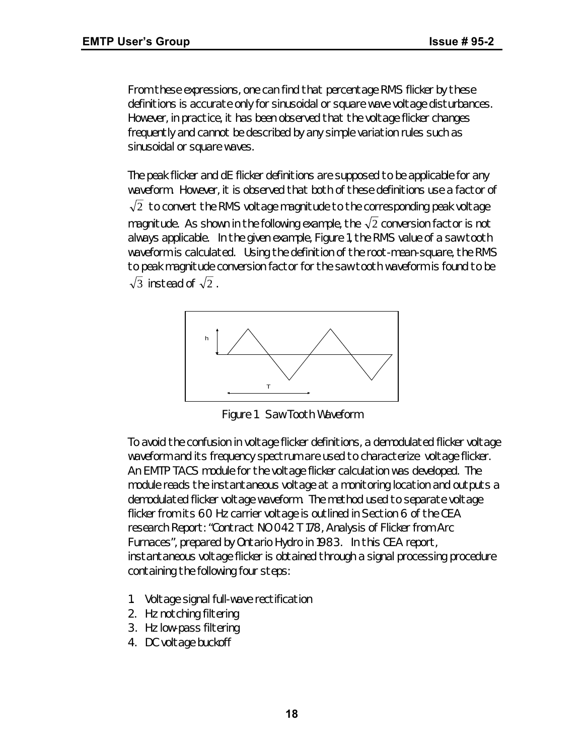From these expressions, one can find that percentage RMS flicker by these definitions is accurate only for sinusoidal or square wave voltage disturbances. However, in practice, it has been observed that the voltage flicker changes frequently and cannot be described by any simple variation rules such as sinusoidal or square waves.

The peak flicker and dE flicker definitions are supposed to be applicable for any waveform. However, it is observed that both of these definitions use a factor of  $\sqrt{2}$  to convert the RMS voltage magnitude to the corresponding peak voltage magnitude. As shown in the following example, the  $\sqrt{2}$  conversion factor is not always applicable. In the given example, Figure 1, the RMS value of a saw tooth waveform is calculated. Using the definition of the root-mean-square, the RMS to peak magnitude conversion factor for the saw tooth waveform is found to be  $\sqrt{3}$  instead of  $\sqrt{2}$ .



*Figure 1 Saw Tooth Waveform*

To avoid the confusion in voltage flicker definitions, a demodulated flicker voltage waveform and its frequency spectrum are used to characterize voltage flicker. An EMTP TACS module for the voltage flicker calculation was developed. The module reads the instantaneous voltage at a monitoring location and outputs a demodulated flicker voltage waveform. The method used to separate voltage flicker from its 60 Hz carrier voltage is outlined in Section 6 of the CEA research Report: "Contract NO 042 T 178, Analysis of Flicker from Arc Furnaces", prepared by Ontario Hydro in 1983. In this CEA report, instantaneous voltage flicker is obtained through a signal processing procedure containing the following four steps:

- 1. Voltage signal full-wave rectification
- 2. Hz notching filtering
- 3. Hz low-pass filtering
- 4. DC voltage buckoff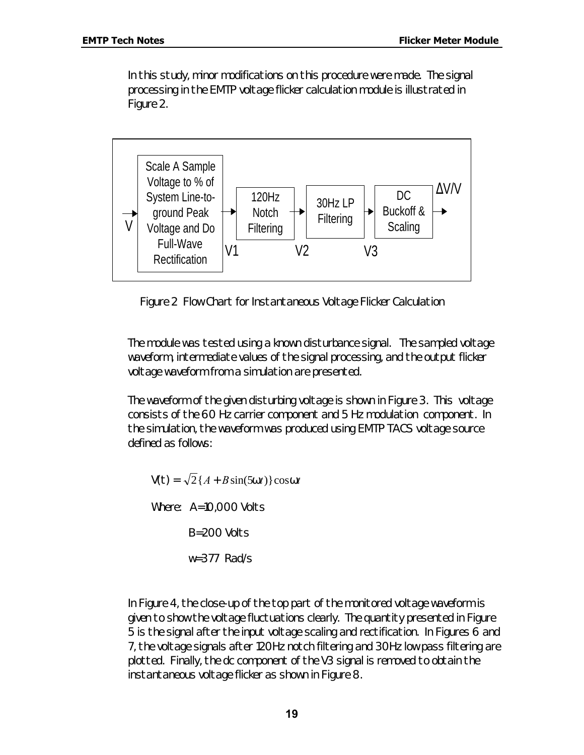In this study, minor modifications on this procedure were made. The signal processing in the EMTP voltage flicker calculation module is illustrated in Figure 2.



*Figure 2 Flow Chart for Instantaneous Voltage Flicker Calculation*

The module was tested using a known disturbance signal. The sampled voltage waveform, intermediate values of the signal processing, and the output flicker voltage waveform from a simulation are presented.

The waveform of the given disturbing voltage is shown in Figure 3. This voltage consists of the 60 Hz carrier component and 5 Hz modulation component. In the simulation, the waveform was produced using EMTP TACS voltage source defined as follows:

 $V(t) = \sqrt{2} \{A + B \sin(5wt)\} \cos wt$ Where: A=10,000 Volts B=200 Volts w=377 Rad/s

In Figure 4, the close-up of the top part of the monitored voltage waveform is given to show the voltage fluctuations clearly. The quantity presented in Figure 5 is the signal after the input voltage scaling and rectification. In Figures 6 and 7, the voltage signals after 120Hz notch filtering and 30Hz low pass filtering are plotted. Finally, the dc component of the V3 signal is removed to obtain the instantaneous voltage flicker as shown in Figure 8.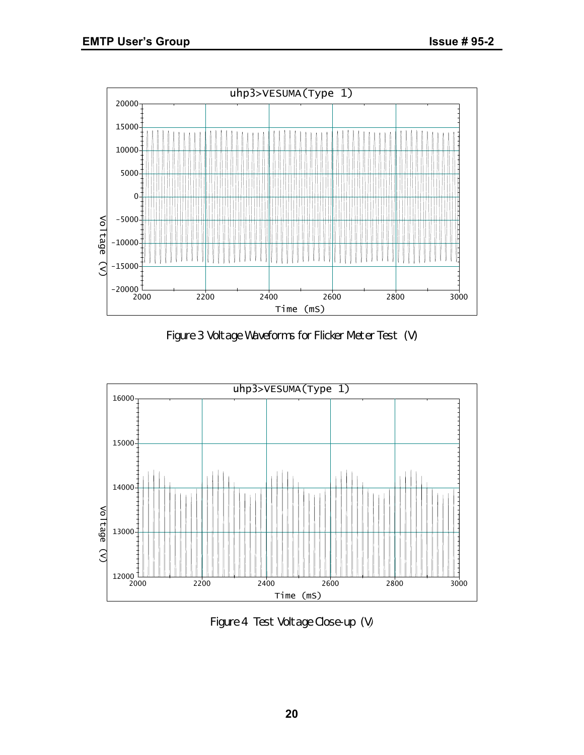

*Figure 3 Voltage Waveforms for Flicker Meter Test (V)*



*Figure 4 Test Voltage Close-up (V)*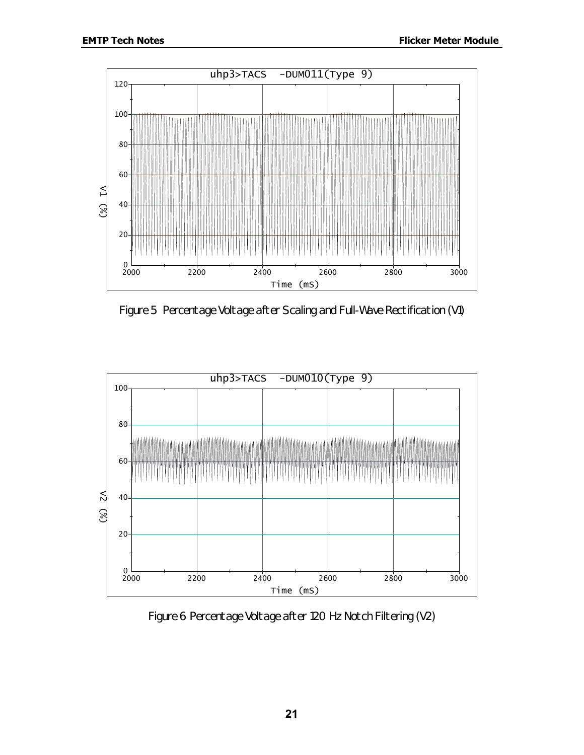

*Figure 5 Percentage Voltage after Scaling and Full-Wave Rectification (V1)*



*Figure 6 Percentage Voltage after 120 Hz Notch Filtering (V2)*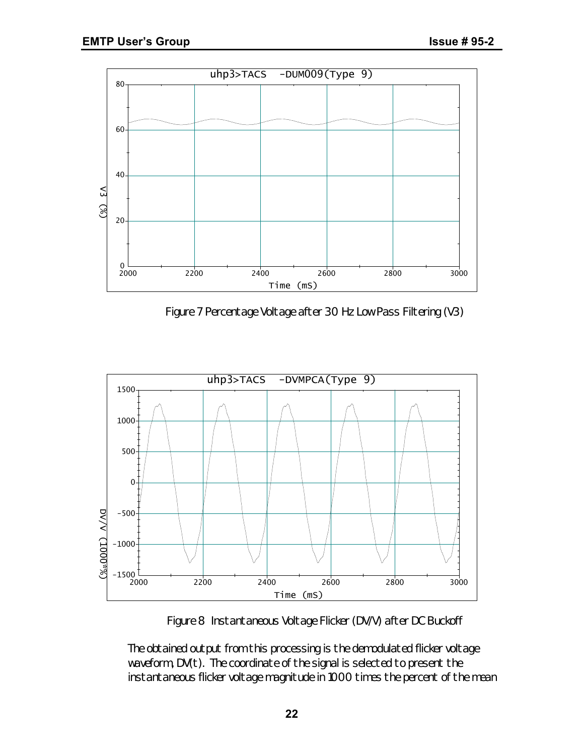

*Figure 7 Percentage Voltage after 30 Hz Low Pass Filtering (V3)*



*Figure 8 Instantaneous Voltage Flicker (DV/V) after DC Buckoff*

The obtained output from this processing is the demodulated flicker voltage waveform, DV(t). The coordinate of the signal is selected to present the instantaneous flicker voltage magnitude in 1000 times the percent of the mean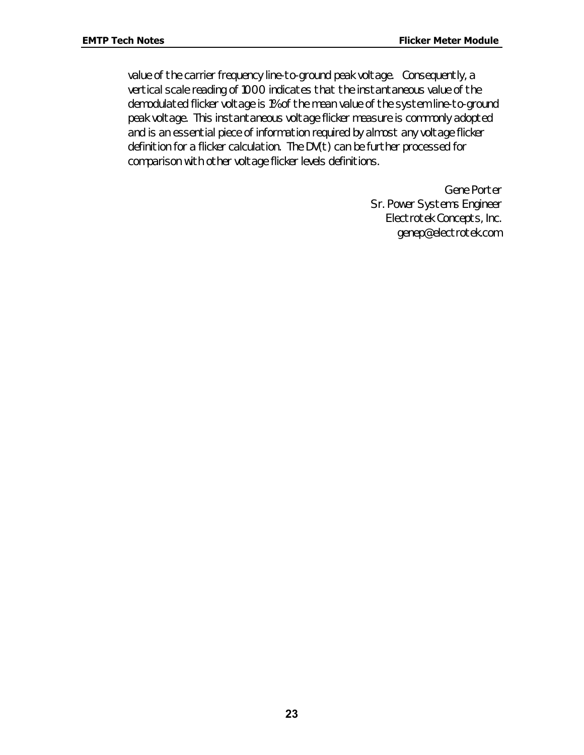value of the carrier frequency line-to-ground peak voltage. Consequently, a vertical scale reading of 1000 indicates that the instantaneous value of the demodulated flicker voltage is 1% of the mean value of the system line-to-ground peak voltage. This instantaneous voltage flicker measure is commonly adopted and is an essential piece of information required by almost any voltage flicker definition for a flicker calculation. The DV(t) can be further processed for comparison with other voltage flicker levels definitions.

> Gene Porter Sr. Power Systems Engineer Electrotek Concepts, Inc. genep@electrotek.com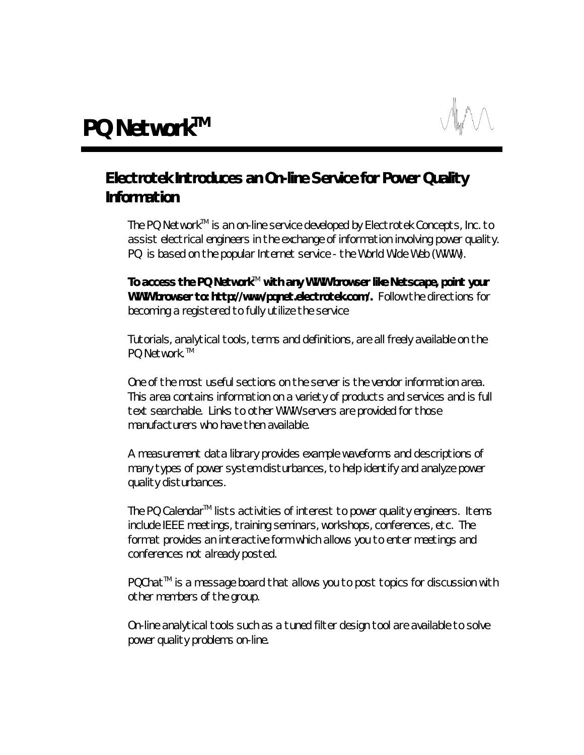# *Electrotek Introduces an On-line Service for Power Quality Information*

The PQ Network<sup>™</sup> is an on-line service developed by Electrotek Concepts, Inc. to assist electrical engineers in the exchange of information involving power quality. PQ is based on the popular Internet service - the World Wide Web (WWW).

To access the PQ Network<sup>™</sup> with any WWW browser like Netscape, point your **WWW browser to: http://www/pqnet.electrotek.com/.** Follow the directions for becoming a registered to fully utilize the service

Tutorials, analytical tools, terms and definitions, are all freely available on the PO Network <sup>TM</sup>

One of the most useful sections on the server is the vendor information area. This area contains information on a variety of products and services and is full text searchable. Links to other WWW servers are provided for those manufacturers who have then available.

A measurement data library provides example waveforms and descriptions of many types of power system disturbances, to help identify and analyze power quality disturbances.

The PQ Calendar<sup>™</sup> lists activities of interest to power quality engineers. Items include IEEE meetings, training seminars, workshops, conferences, etc. The format provides an interactive form which allows you to enter meetings and conferences not already posted.

PQChat<sup>™</sup> is a message board that allows you to post topics for discussion with other members of the group.

On-line analytical tools such as a tuned filter design tool are available to solve power quality problems on-line.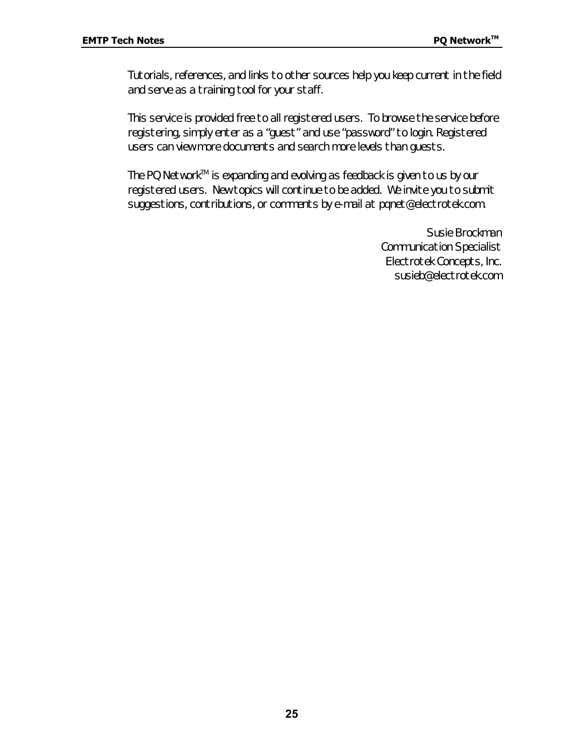Tutorials, references, and links to other sources help you keep current in the field and serve as a training tool for your staff.

This service is provided free to all registered users. To browse the service before registering, simply enter as a "guest" and use "password" to login. Registered users can view more documents and search more levels than guests.

The PQ Network™ is expanding and evolving as feedback is given to us by our registered users. New topics will continue to be added. We invite you to submit suggestions, contributions, or comments by e-mail at pqnet@electrotek.com.

> Susie Brockman Communication Specialist Electrotek Concepts, Inc. susieb@electrotek.com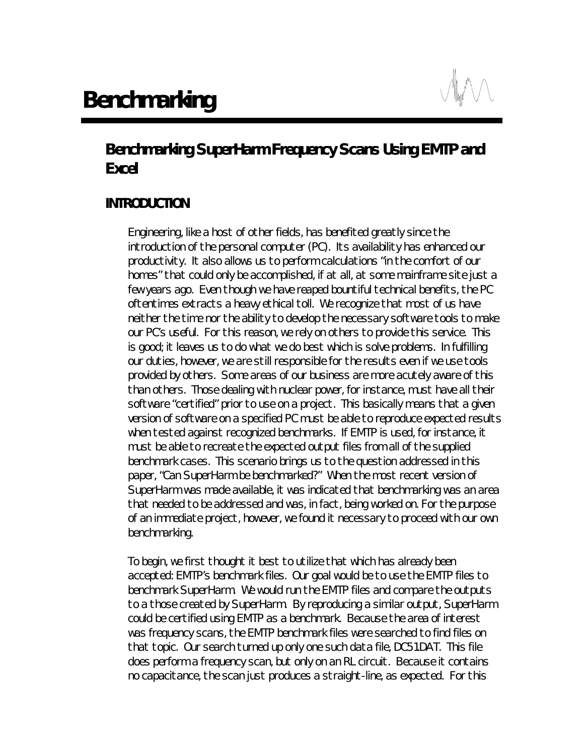

# *Benchmarking SuperHarm Frequency Scans Using EMTP and Excel*

# *INTRODUCTION*

Engineering, like a host of other fields, has benefited greatly since the introduction of the personal computer (PC). Its availability has enhanced our productivity. It also allows us to perform calculations "in the comfort of our homes" that could only be accomplished, if at all, at some mainframe site just a few years ago. Even though we have reaped bountiful technical benefits, the PC oftentimes extracts a heavy ethical toll. We recognize that most of us have neither the time nor the ability to develop the necessary software tools to make our PC's useful. For this reason, we rely on others to provide this service. This is good; it leaves us to do what we do best which is solve problems. In fulfilling our duties, however, we are still responsible for the results even if we use tools provided by others. Some areas of our business are more acutely aware of this than others. Those dealing with nuclear power, for instance, must have all their software "certified" prior to use on a project. This basically means that a given version of software on a specified PC must be able to reproduce expected results when tested against recognized benchmarks. If EMTP is used, for instance, it must be able to recreate the expected output files from all of the supplied benchmark cases. This scenario brings us to the question addressed in this paper, "Can SuperHarm be benchmarked?" When the most recent version of SuperHarm was made available, it was indicated that benchmarking was an area that needed to be addressed and was, in fact, being worked on. For the purpose of an immediate project, however, we found it necessary to proceed with our own benchmarking.

To begin, we first thought it best to utilize that which has already been accepted: EMTP's benchmark files. Our goal would be to use the EMTP files to benchmark SuperHarm. We would run the EMTP files and compare the outputs to a those created by SuperHarm. By reproducing a similar output, SuperHarm could be certified using EMTP as a benchmark. Because the area of interest was frequency scans, the EMTP benchmark files were searched to find files on that topic. Our search turned up only one such data file, DC51.DAT. This file does perform a frequency scan, but only on an RL circuit. Because it contains no capacitance, the scan just produces a straight-line, as expected. For this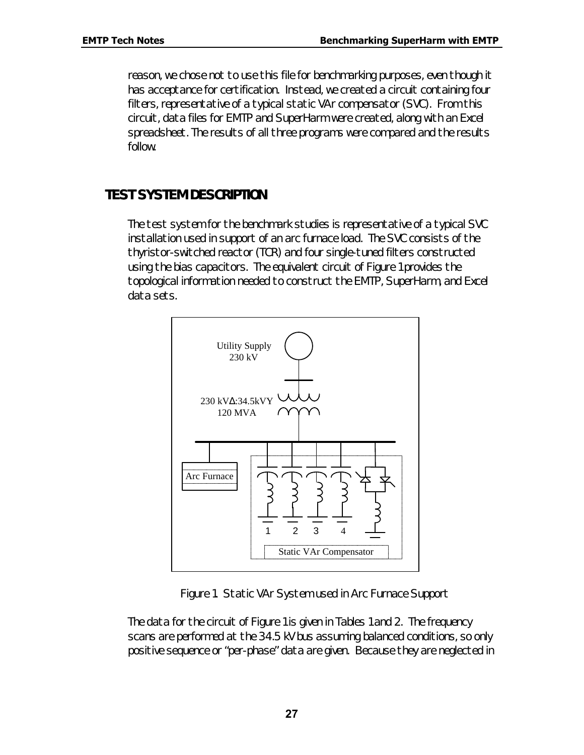reason, we chose not to use this file for benchmarking purposes, even though it has acceptance for certification. Instead, we created a circuit containing four filters, representative of a typical static VAr compensator (SVC). From this circuit, data files for EMTP and SuperHarm were created, along with an Excel spreadsheet. The results of all three programs were compared and the results follow.

# *TEST SYSTEM DESCRIPTION*

The test system for the benchmark studies is representative of a typical SVC installation used in support of an arc furnace load. The SVC consists of the thyristor-switched reactor (TCR) and four single-tuned filters constructed using the bias capacitors. The equivalent circuit of Figure 1 provides the topological information needed to construct the EMTP, SuperHarm, and Excel data sets.



*Figure 1. Static VAr System used in Arc Furnace Support*

The data for the circuit of Figure 1 is given in Tables 1 and 2. The frequency scans are performed at the 34.5 kV bus assuming balanced conditions, so only positive sequence or "per-phase" data are given. Because they are neglected in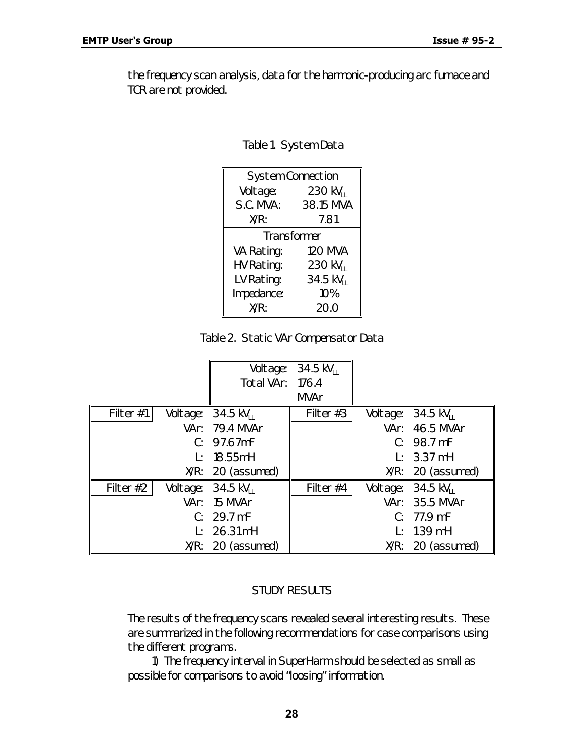the frequency scan analysis, data for the harmonic-producing arc furnace and TCR are not provided.

| <b>System Connection</b> |                        |  |  |  |
|--------------------------|------------------------|--|--|--|
| Voltage:                 | $230 \text{ kV}_{11}$  |  |  |  |
| S.C. MVA:                | 38.15 MVA              |  |  |  |
| X/R:                     | 7.81                   |  |  |  |
| <b>Transformer</b>       |                        |  |  |  |
| VA Rating:               | <b>120 MVA</b>         |  |  |  |
| HV Rating:               | 230 kV <sub>II</sub>   |  |  |  |
| LV Rating:               | $34.5 \text{ kV}_{11}$ |  |  |  |
| Impedance:               | 10%                    |  |  |  |
| X/R:                     | 20.0                   |  |  |  |

*Table 2. Static VAr Compensator Data*

|           |              |                                       | Voltage: 34.5 kV <sub>11</sub> |          |                              |
|-----------|--------------|---------------------------------------|--------------------------------|----------|------------------------------|
|           |              | Total VAr: 176.4                      |                                |          |                              |
|           |              |                                       | <b>MVAr</b>                    |          |                              |
| Filter #1 |              | Voltage: $34.5 \text{ kV}_{11}$       | Filter $#3$                    | Voltage: | 34.5 kV $_{11}$              |
|           |              | VAr: 79.4 MVAr                        |                                |          | VAr: 46.5 MVAr               |
|           |              | C: 97.67mF                            |                                |          | C: 98.7 mF                   |
|           | Ŀ.           | 18.55mH                               |                                |          | $L: 3.37 \text{ mH}$         |
|           |              | $X/R: 20$ (assumed)                   |                                |          | $X/R: 20$ (assumed)          |
| Filter #2 |              | Voltage: $34.5 \text{ kV}_{\text{H}}$ | Filter #4                      | Voltage: | $34.5 \text{ kV}_{\text{H}}$ |
|           |              | VAr: 15 MVAr                          |                                |          | VAr: 35.5 MVAr               |
|           |              | C: 29.7 mF                            |                                |          | C: 77.9 mF                   |
|           | $\mathbf{P}$ | 26.31 mH                              |                                |          | $L: 1.39$ mH                 |
|           |              | $X/R: 20$ (assumed)                   |                                |          | $X/R: 20$ (assumed)          |

#### STUDY RESULTS

The results of the frequency scans revealed several interesting results. These are summarized in the following recommendations for case comparisons using the different programs.

1) The frequency interval in SuperHarm should be selected as small as possible for comparisons to avoid "loosing" information.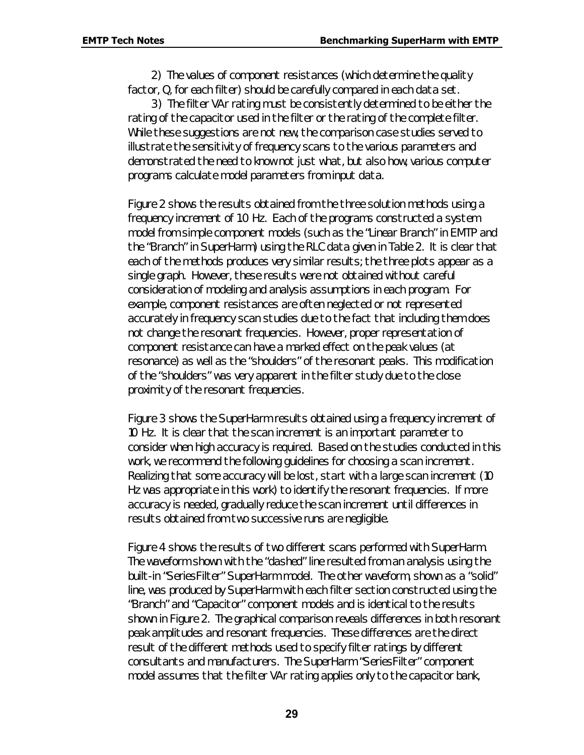2) The values of component resistances (which determine the quality factor, Q, for each filter) should be carefully compared in each data set.

3) The filter VAr rating must be consistently determined to be either the rating of the capacitor used in the filter or the rating of the complete filter. While these suggestions are not new, the comparison case studies served to illustrate the sensitivity of frequency scans to the various parameters and demonstrated the need to know not just what, but also how, various computer programs calculate model parameters from input data.

Figure 2 shows the results obtained from the three solution methods using a frequency increment of 1.0 Hz. Each of the programs constructed a system model from simple component models (such as the "Linear Branch" in EMTP and the "Branch" in SuperHarm) using the RLC data given in Table 2. It is clear that each of the methods produces very similar results; the three plots appear as a single graph. However, these results were not obtained without careful consideration of modeling and analysis assumptions in each program. For example, component resistances are often neglected or not represented accurately in frequency scan studies due to the fact that including them does not change the resonant frequencies. However, proper representation of component resistance can have a marked effect on the peak values (at resonance) as well as the "shoulders" of the resonant peaks. This modification of the "shoulders" was very apparent in the filter study due to the close proximity of the resonant frequencies.

Figure 3 shows the SuperHarm results obtained using a frequency increment of 10 Hz. It is clear that the scan increment is an important parameter to consider when high accuracy is required. Based on the studies conducted in this work, we recommend the following guidelines for choosing a scan increment. Realizing that some accuracy will be lost, start with a large scan increment (10 Hz was appropriate in this work) to identify the resonant frequencies. If more accuracy is needed, gradually reduce the scan increment until differences in results obtained from two successive runs are negligible.

Figure 4 shows the results of two different scans performed with SuperHarm. The waveform shown with the "dashed" line resulted from an analysis using the built-in "SeriesFilter" SuperHarm model. The other waveform, shown as a "solid" line, was produced by SuperHarm with each filter section constructed using the "Branch" and "Capacitor" component models and is identical to the results shown in Figure 2. The graphical comparison reveals differences in both resonant peak amplitudes and resonant frequencies. These differences are the direct result of the different methods used to specify filter ratings by different consultants and manufacturers. The SuperHarm "SeriesFilter" component model assumes that the filter VAr rating applies only to the capacitor bank,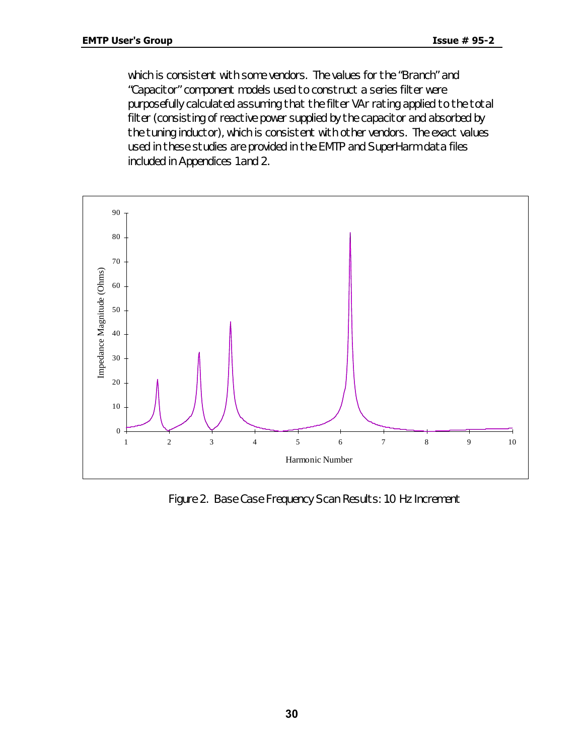which is consistent with some vendors. The values for the "Branch" and "Capacitor" component models used to construct a series filter were purposefully calculated assuming that the filter VAr rating applied to the total filter (consisting of reactive power *supplied* by the capacitor and *absorbed* by the tuning inductor), which is consistent with other vendors. The exact values used in these studies are provided in the EMTP and SuperHarm data files included in Appendices 1 and 2.



*Figure 2. Base Case Frequency Scan Results: 1.0 Hz Increment*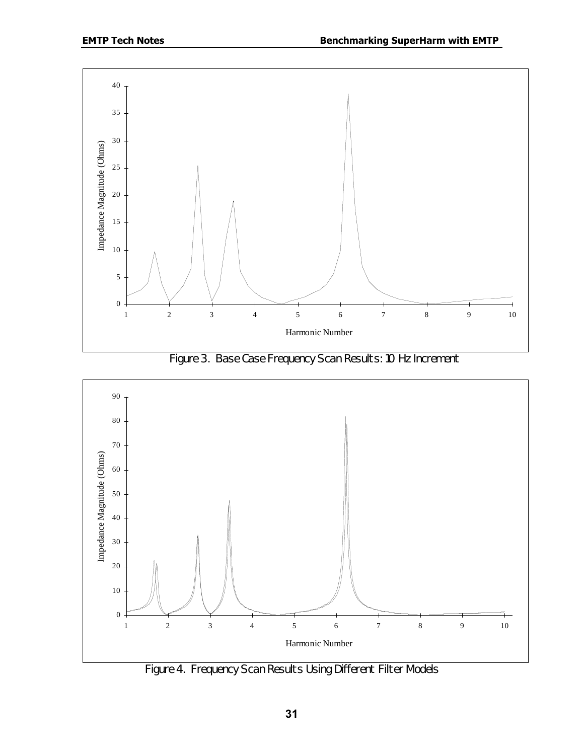

*Figure 3. Base Case Frequency Scan Results: 10 Hz Increment*



*Figure 4. Frequency Scan Results Using Different Filter Models*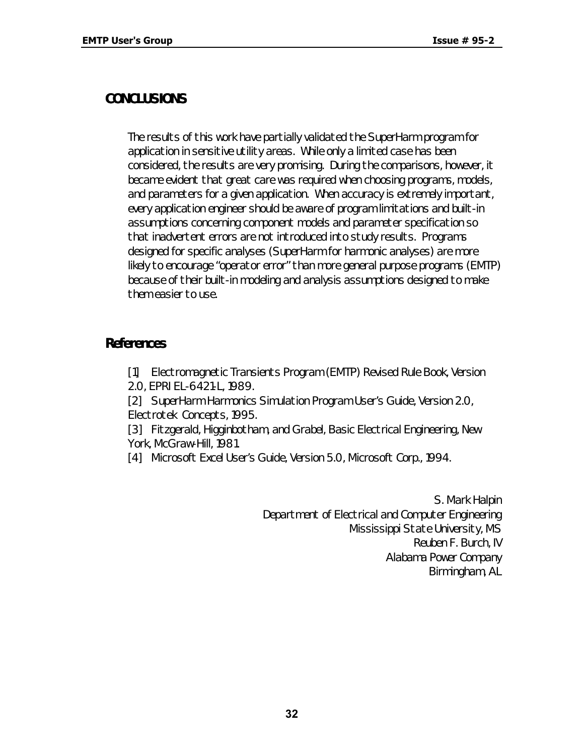# *CONCLUSIONS*

The results of this work have partially validated the SuperHarm program for application in sensitive utility areas. While only a limited case has been considered, the results are very promising. During the comparisons, however, it became evident that great care was required when choosing programs, models, and parameters for a given application. When accuracy is extremely important, every application engineer should be aware of program limitations and built-in assumptions concerning component models and parameter specification so that inadvertent errors are not introduced into study results. Programs designed for specific analyses (SuperHarm for harmonic analyses) are more likely to encourage "operator error" than more general purpose programs (EMTP) because of their built-in modeling and analysis assumptions designed to make them easier to use.

## *References*

[1] Electromagnetic Transients Program (EMTP) Revised Rule Book, Version

2.0, EPRI EL-6421-L, 1989.

[2] SuperHarm Harmonics Simulation Program User's Guide, Version 2.0, Electrotek Concepts, 1995.

[3] Fitzgerald, Higginbotham, and Grabel, Basic Electrical Engineering, New York, McGraw-Hill, 1981.

[4] Microsoft Excel User's Guide, Version 5.0, Microsoft Corp., 1994.

S. Mark Halpin Department of Electrical and Computer Engineering Mississippi State University, MS Reuben F. Burch, IV Alabama Power Company Birmingham, AL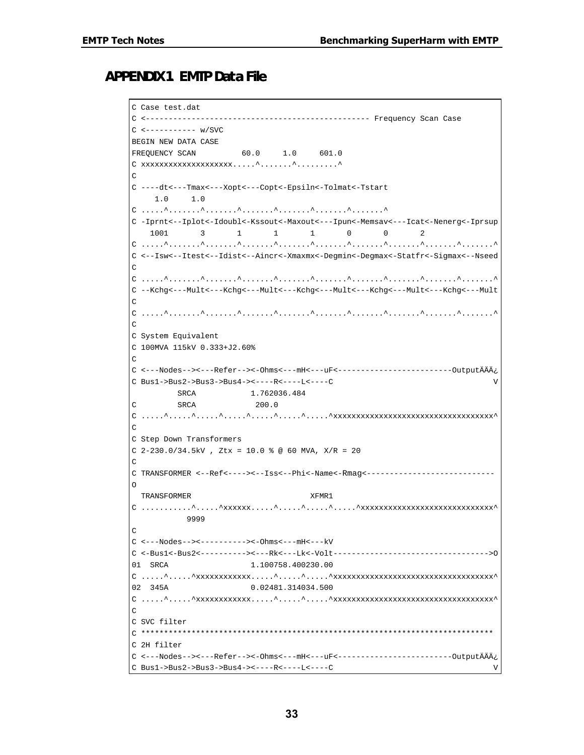#### *APPENDIX 1. EMTP Data File*

```
C Case test.dat
C <------------------------------------------------- Frequency Scan Case
C <----------- w/SVC
BEGIN NEW DATA CASE
FREQUENCY SCAN 60.0 1.0 601.0
\texttt{C \;\;xxxxxxxxxxxxxxxxxxxxxxx...} \; \texttt{``}\texttt{``}\texttt{``}\texttt{``}\texttt{''} \texttt{``}\texttt{''} \texttt{''} \texttt{''} \texttt{''} \texttt{''} \texttt{''} \texttt{''} \texttt{''} \texttt{''} \texttt{''} \texttt{''} \texttt{''} \texttt{''} \texttt{''} \texttt{''} \texttt{''} \texttt{''} \texttt{''} \texttt{''} \texttt{''} \texttt{''} \texttt{''} \texttt{''} \texttt{''} \texttt{''} \texttt{''} \texttt{''} \texttt{C
C ----dt<---Tmax<---Xopt<---Copt<-Epsiln<-Tolmat<-Tstart
       1.0 1.0
C .....^.......^.......^.......^.......^.......^.......^
C -Iprnt<--Iplot<-Idoubl<-Kssout<-Maxout<---Ipun<-Memsav<---Icat<-Nenerg<-Iprsup
 1001 3 1 1 1 0 0 2
C .....^.......^.......^.......^.......^.......^.......^.......^.......^.......^
C <--Isw<--Itest<--Idist<--Aincr<-Xmaxmx<-Degmin<-Degmax<-Statfr<-Sigmax<--Nseed
\overline{C}C .....^.......^.......^.......^.......^.......^.......^.......^.......^.......^
C --Kchg<---Mult<---Kchg<---Mult<---Kchg<---Mult<---Kchg<---Mult<---Kchg<---Mult
\overline{C}C .....^.......^.......^.......^.......^.......^.......^.......^.......^.......^
\overline{C}C System Equivalent
C 100MVA 115kV 0.333+J2.60%
C
C <---Nodes--><---Refer--><-Ohms<---mH<---uF<-------------------------OutputÄÄÄ¿
C Bus1->Bus2->Bus3->Bus4-><----R<----L<----C V
              SRCA 1.762036.484
C SRCA 200.0
C_1, \ldots, 1, \ldots, 1, \ldots, 1, \ldots, 1, \ldots, 1, \ldots, 1, \ldots, 1, \ldots, 1, \ldots, 1, \ldots, 1, \ldots, 1, \ldots, 1, \ldots, 1, \ldots, 1, \ldots, 1, \ldots, 1, \ldots, 1, \ldots, 1, \ldots, 1, \ldots, 1, \ldots, 1, \ldots, 1, \ldots, 1, \ldots, 1, \ldots, 1, \ldots, 1, \ldots, 1, \ldots, 1, \ldots, 1, \ldots, 1, \ldots, 1C
C Step Down Transformers
C 2-230.0/34.5kV , Ztx = 10.0 % @ 60 MVA, X/R = 20
\GammaC TRANSFORMER <--Ref<----><--Iss<--Phi<-Name<-Rmag<----------------------------
O
   TRANSFORMER XFMR1
C_1, \ldots, \ldots, A, \ldots, A, \ldots, A, \ldots, A, \ldots, A, \ldots, A, \ldots, A, \ldots, A, \ldots, A, \ldots, A, \ldots, A, \ldots, A, \ldots, A, \ldots, A, \ldots, A, \ldots, A, \ldots, A, \ldots, A, \ldots, A, \ldots, A, \ldots, A, \ldots, A, \ldots, A, \ldots, A, \ldots, A, \ldots, A, \ldots, A, \ldots, A, \ldots, A, \ldots, A, \ldots, A, \ldots, A, \ldots, A, \ldots, A, \ldots, A, \ld 9999
C
C <---Nodes--><----------><-Ohms<---mH<---kV
C <-Bus1<-Bus2<----------><---Rk<---Lk<-Volt---------------------------------->O
01 SRCA 1.100758.400230.00
C_1, \ldots, 1, \ldots, 1, \ldots, 1, \ldots, 1, \ldots, 1, \ldots, 1, \ldots, 1, \ldots, 1, \ldots, 1, \ldots, 1, \ldots, 1, \ldots, 1, \ldots, 1, \ldots, 1, \ldots, 1, \ldots, 1, \ldots, 1, \ldots, 1, \ldots, 1, \ldots, 1, \ldots, 1, \ldots, 1, \ldots, 1, \ldots, 1, \ldots, 1, \ldots, 1, \ldots, 1, \ldots, 1, \ldots, 1, \ldots, 1, \ldots, 102 345A 0.02481.314034.500
C .....^.....^xxxxxxxxxxxx.....^.....^.....^xxxxxxxxxxxxxxxxxxxxxxxxxxxxxxxxxxx^
C
C SVC filter
C *****************************************************************************
C 2H filter
C <---Nodes--><---Refer--><-Ohms<---mH<---uF<-------------------------OutputÄÄÄ¿
C Bus1->Bus2->Bus3->Bus4-><----R<----L<----C V
```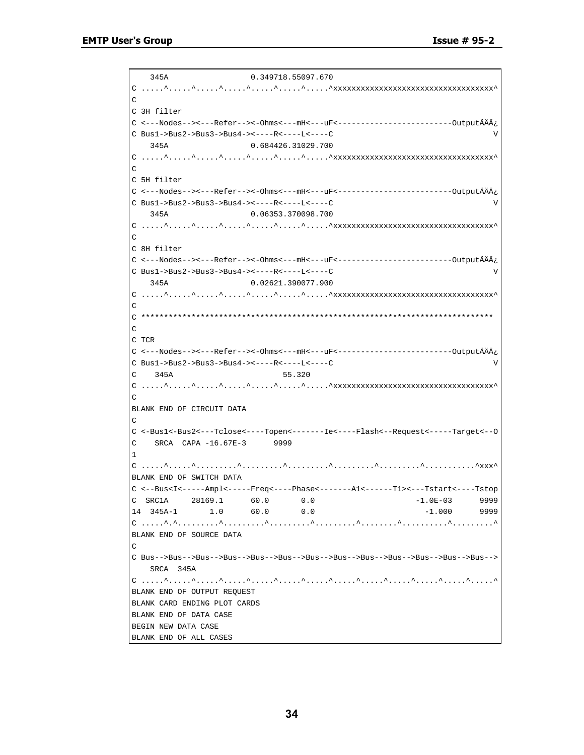345A 0.349718.55097.670 C .....^.....^.....^.....^.....^.....^.....^xxxxxxxxxxxxxxxxxxxxxxxxxxxxxxxxxxx^  $\Gamma$ C 3H filter C <---Nodes--><---Refer--><-Ohms<---mH<---uF<-------------------------OutputÄÄÄ¿  $C \cdot \text{Bus1} \rightarrow \text{Bus2} \rightarrow \text{Bus3} \rightarrow \text{Bus4} \rightarrow \text{X} \rightarrow \text{R} \times \text{S} \rightarrow \text{R} \times \text{S} \rightarrow \text{R} \times \text{S} \rightarrow \text{R} \times \text{S} \rightarrow \text{R} \times \text{S} \rightarrow \text{R} \times \text{S} \rightarrow \text{R} \times \text{S} \rightarrow \text{R} \times \text{S} \rightarrow \text{R} \times \text{S} \rightarrow \text{R} \times \text{S} \rightarrow \text{R} \times \text{S} \rightarrow \text{R} \times \text{S} \rightarrow \text{R} \times \text{$  345A 0.684426.31029.700 C .....^.....^.....^.....^.....^.....^.....^xxxxxxxxxxxxxxxxxxxxxxxxxxxxxxxxxxx^ C C 5H filter C <---Nodes--><---Refer--><-Ohms<---mH<---uF<-------------------------OutputÄÄÄ¿ C Bus1->Bus2->Bus3->Bus4-><----R<----L<----C V 345A 0.06353.370098.700 C .....^.....^.....^.....^.....^.....^.....^xxxxxxxxxxxxxxxxxxxxxxxxxxxxxxxxxxx^  $\overline{C}$ C 8H filter C <---Nodes--><---Refer--><-Ohms<---mH<---uF<-------------------------OutputÄÄÄ¿ C Bus1->Bus2->Bus3->Bus4-><----R<----L<----C V 345A 0.02621.390077.900 C .....^.....^.....^.....^.....^.....^.....^xxxxxxxxxxxxxxxxxxxxxxxxxxxxxxxxxxx^  $\Gamma$ C \*\*\*\*\*\*\*\*\*\*\*\*\*\*\*\*\*\*\*\*\*\*\*\*\*\*\*\*\*\*\*\*\*\*\*\*\*\*\*\*\*\*\*\*\*\*\*\*\*\*\*\*\*\*\*\*\*\*\*\*\*\*\*\*\*\*\*\*\*\*\*\*\*\*\*\*\*  $\Gamma$  $C$  T $CR$ C <---Nodes--><---Refer--><-Ohms<---mH<---uF<-------------------------OutputÄÄÄ¿ C Bus1->Bus2->Bus3->Bus4-><----R<----L<----C V C 345A 55.320 C .....^.....^.....^.....^.....^.....^.....^xxxxxxxxxxxxxxxxxxxxxxxxxxxxxxxxxxx^  $\Gamma$ BLANK END OF CIRCUIT DATA  $\mathcal{C}$ C <-Bus1<-Bus2<---Tclose<----Topen<-------Ie<----Flash<--Request<-----Target<--O C SRCA CAPA -16.67E-3 9999 1 C .....^.....^.........^.........^.........^.........^.........^...........^xxx^ BLANK END OF SWITCH DATA C <--Bus<I<-----Ampl<-----Freq<----Phase<-------A1<------T1><---Tstart<----Tstop C SRC1A 28169.1 60.0 0.0 -1.0E-03 9999 14 345A-1 1.0 60.0 0.0 -1.000 9999 C .....^.^.........^.........^.........^.........^........^..........^.........^ BLANK END OF SOURCE DATA  $\mathcal{C}$ C Bus-->Bus-->Bus-->Bus-->Bus-->Bus-->Bus-->Bus-->Bus-->Bus-->Bus-->Bus-->Bus--> SRCA 345A C .....^.....^.....^.....^.....^.....^.....^.....^.....^.....^.....^.....^.....^ BLANK END OF OUTPUT REQUEST BLANK CARD ENDING PLOT CARDS BLANK END OF DATA CASE BEGIN NEW DATA CASE BLANK END OF ALL CASES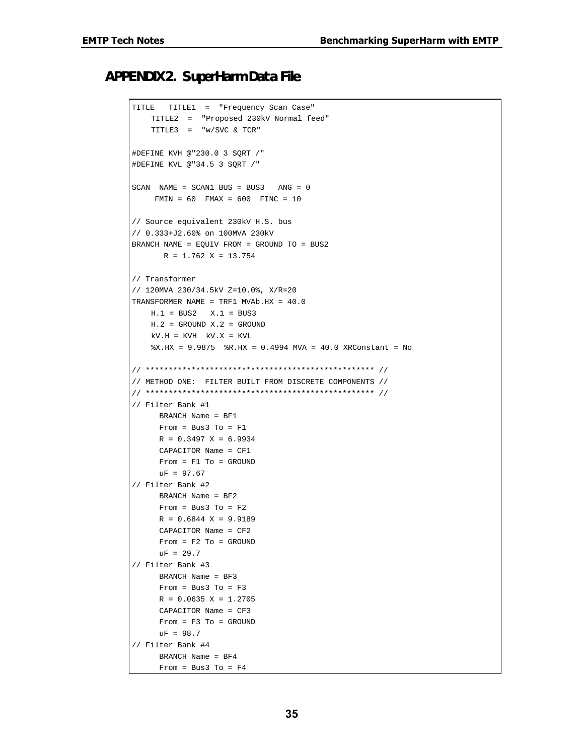#### *APPENDIX 2. SuperHarm Data File*

```
TITLE TITLE1 = "Frequency Scan Case"
    TITLE2 = "Proposed 230kV Normal feed"
    TITLE3 = "w/SVC & TCR"
#DEFINE KVH @"230.0 3 SQRT /"
#DEFINE KVL @"34.5 3 SQRT /"
SCAN NAME = SCAN1 BUS = BUS3 ANG = 0
     FMIN = 60 FMAX = 600 FINC = 10
// Source equivalent 230kV H.S. bus
// 0.333+J2.60% on 100MVA 230kV
BRANCH NAME = EQUIV FROM = GROUND TO = BUS2
      R = 1.762 X = 13.754// Transformer
// 120MVA 230/34.5kV Z=10.0%, X/R=20
TRANSFORMER NAME = TRF1 MVAb.HX = 40.0
   H.1 = BUS2 X.1 = BUS3
   H.2 = GROUND X.2 = GROUND
   kV.H = KVH kV.X = KVL%X.HX = 9.9875 %R.HX = 0.4994 MVA = 40.0 XRConstant = No
// ************************************************** //
// METHOD ONE: FILTER BUILT FROM DISCRETE COMPONENTS //
// ************************************************** //
// Filter Bank #1
      BRANCH Name = BF1
     From = Bus3 To = F1R = 0.3497 X = 6.9934 CAPACITOR Name = CF1
      From = F1 To = GROUND
     uF = 97.67// Filter Bank #2
      BRANCH Name = BF2
     From = Bus3 To = F2R = 0.6844 X = 9.9189
      CAPACITOR Name = CF2
     From = F2 TO = GROUNDuF = 29.7// Filter Bank #3
      BRANCH Name = BF3
     From = Bus3 To = F3R = 0.0635 X = 1.2705 CAPACITOR Name = CF3
      From = F3 To = GROUND
     uF = 98.7// Filter Bank #4
      BRANCH Name = BF4
     From = Bus3 To = F4
```